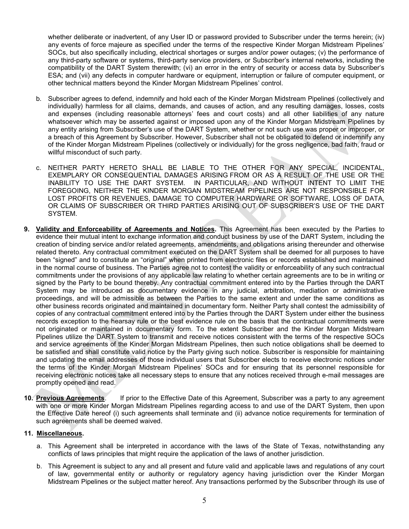whether deliberate or inadvertent, of any User ID or password provided to Subscriber under the terms herein; (iv) any events of force majeure as specified under the terms of the respective Kinder Morgan Midstream Pipelines' SOCs, but also specifically including, electrical shortages or surges and/or power outages; (v) the performance of any third-party software or systems, third-party service providers, or Subscriber's internal networks, including the compatibility of the DART System therewith; (vi) an error in the entry of security or access data by Subscriber's ESA; and (vii) any defects in computer hardware or equipment, interruption or failure of computer equipment, or other technical matters beyond the Kinder Morgan Midstream Pipelines' control.

- b. Subscriber agrees to defend, indemnify and hold each of the Kinder Morgan Midstream Pipelines (collectively and individually) harmless for all claims, demands, and causes of action, and any resulting damages, losses, costs and expenses (including reasonable attorneys' fees and court costs) and all other liabilities of any nature whatsoever which may be asserted against or imposed upon any of the Kinder Morgan Midstream Pipelines by any entity arising from Subscriber's use of the DART System, whether or not such use was proper or improper, or a breach of this Agreement by Subscriber. However, Subscriber shall not be obligated to defend or indemnify any of the Kinder Morgan Midstream Pipelines (collectively or individually) for the gross negligence, bad faith, fraud or willful misconduct of such party.
- c. NEITHER PARTY HERETO SHALL BE LIABLE TO THE OTHER FOR ANY SPECIAL, INCIDENTAL, EXEMPLARY OR CONSEQUENTIAL DAMAGES ARISING FROM OR AS A RESULT OF THE USE OR THE INABILITY TO USE THE DART SYSTEM. IN PARTICULAR, AND WITHOUT INTENT TO LIMIT THE FOREGOING, NEITHER THE KINDER MORGAN MIDSTREAM PIPELINES ARE NOT RESPONSIBLE FOR LOST PROFITS OR REVENUES, DAMAGE TO COMPUTER HARDWARE OR SOFTWARE, LOSS OF DATA, OR CLAIMS OF SUBSCRIBER OR THIRD PARTIES ARISING OUT OF SUBSCRIBER'S USE OF THE DART SYSTEM.
- 9. Validity and Enforceability of Agreements and Notices. This Agreement has been executed by the Parties to evidence their mutual intent to exchange information and conduct business by use of the DART System, including the creation of binding service and/or related agreements, amendments, and obligations arising thereunder and otherwise related thereto. Any contractual commitment executed on the DART System shall be deemed for all purposes to have been "signed" and to constitute an "original" when printed from electronic files or records established and maintained in the normal course of business. The Parties agree not to contest the validity or enforceability of any such contractual commitments under the provisions of any applicable law relating to whether certain agreements are to be in writing or signed by the Party to be bound thereby. Any contractual commitment entered into by the Parties through the DART System may be introduced as documentary evidence in any judicial, arbitration, mediation or administrative proceedings, and will be admissible as between the Parties to the same extent and under the same conditions as other business records originated and maintained in documentary form. Neither Party shall contest the admissibility of copies of any contractual commitment entered into by the Parties through the DART System under either the business records exception to the hearsay rule or the best evidence rule on the basis that the contractual commitments were not originated or maintained in documentary form. To the extent Subscriber and the Kinder Morgan Midstream Pipelines utilize the DART System to transmit and receive notices consistent with the terms of the respective SOCs and service agreements of the Kinder Morgan Midstream Pipelines, then such notice obligations shall be deemed to be satisfied and shall constitute valid notice by the Party giving such notice. Subscriber is responsible for maintaining and updating the email addresses of those individual users that Subscriber elects to receive electronic notices under the terms of the Kinder Morgan Midstream Pipelines' SOCs and for ensuring that its personnel responsible for receiving electronic notices take all necessary steps to ensure that any notices received through e-mail messages are promptly opened and read.
- 10. Previous Agreements. If prior to the Effective Date of this Agreement, Subscriber was a party to any agreement with one or more Kinder Morgan Midstream Pipelines regarding access to and use of the DART System, then upon the Effective Date hereof (i) such agreements shall terminate and (ii) advance notice requirements for termination of such agreements shall be deemed waived.

## 11. Miscellaneous.

- a. This Agreement shall be interpreted in accordance with the laws of the State of Texas, notwithstanding any conflicts of laws principles that might require the application of the laws of another jurisdiction.
- b. This Agreement is subject to any and all present and future valid and applicable laws and regulations of any court of law, governmental entity or authority or regulatory agency having jurisdiction over the Kinder Morgan Midstream Pipelines or the subject matter hereof. Any transactions performed by the Subscriber through its use of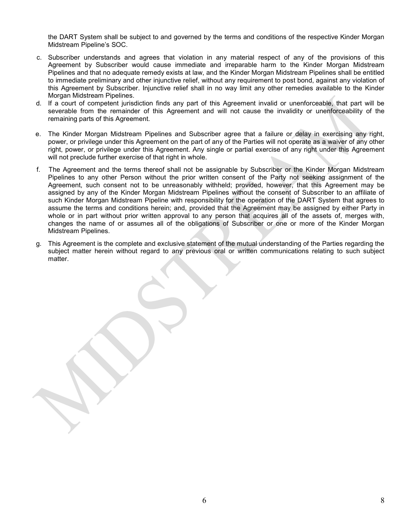the DART System shall be subject to and governed by the terms and conditions of the respective Kinder Morgan Midstream Pipeline's SOC.

- c. Subscriber understands and agrees that violation in any material respect of any of the provisions of this Agreement by Subscriber would cause immediate and irreparable harm to the Kinder Morgan Midstream Pipelines and that no adequate remedy exists at law, and the Kinder Morgan Midstream Pipelines shall be entitled to immediate preliminary and other injunctive relief, without any requirement to post bond, against any violation of this Agreement by Subscriber. Injunctive relief shall in no way limit any other remedies available to the Kinder Morgan Midstream Pipelines.
- d. If a court of competent jurisdiction finds any part of this Agreement invalid or unenforceable, that part will be severable from the remainder of this Agreement and will not cause the invalidity or unenforceability of the remaining parts of this Agreement.
- e. The Kinder Morgan Midstream Pipelines and Subscriber agree that a failure or delay in exercising any right, power, or privilege under this Agreement on the part of any of the Parties will not operate as a waiver of any other right, power, or privilege under this Agreement. Any single or partial exercise of any right under this Agreement will not preclude further exercise of that right in whole.
- f. The Agreement and the terms thereof shall not be assignable by Subscriber or the Kinder Morgan Midstream Pipelines to any other Person without the prior written consent of the Party not seeking assignment of the Agreement, such consent not to be unreasonably withheld; provided, however, that this Agreement may be assigned by any of the Kinder Morgan Midstream Pipelines without the consent of Subscriber to an affiliate of such Kinder Morgan Midstream Pipeline with responsibility for the operation of the DART System that agrees to assume the terms and conditions herein; and, provided that the Agreement may be assigned by either Party in whole or in part without prior written approval to any person that acquires all of the assets of, merges with, changes the name of or assumes all of the obligations of Subscriber or one or more of the Kinder Morgan Midstream Pipelines.
- g. This Agreement is the complete and exclusive statement of the mutual understanding of the Parties regarding the subject matter herein without regard to any previous oral or written communications relating to such subject matter.